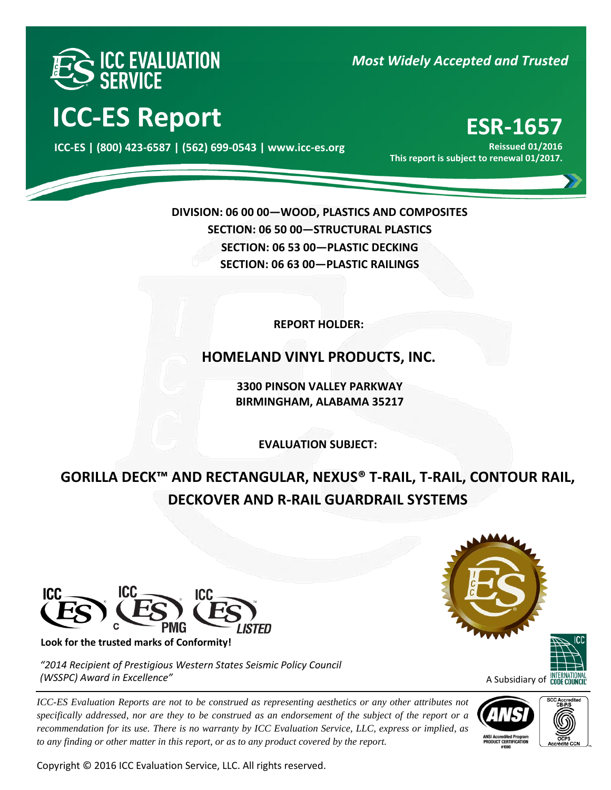

**ICC-ES Report ESR-1657** 

000 **ICC-ES | (800) 423-6587 | (562) 699-0543 | www.icc-es.org**

# *Most Widely Accepted and Trusted*

**Reissued 01/2016 This report is subject to renewal 01/2017.**

**DIVISION: 06 00 00—WOOD, PLASTICS AND COMPOSITES SECTION: 06 50 00—STRUCTURAL PLASTICS SECTION: 06 53 00—PLASTIC DECKING SECTION: 06 63 00—PLASTIC RAILINGS**

**REPORT HOLDER:** 

**HOMELAND VINYL PRODUCTS, INC.**

**3300 PINSON VALLEY PARKWAY BIRMINGHAM, ALABAMA 35217**

**EVALUATION SUBJECT:**

**GORILLA DECK™ AND RECTANGULAR, NEXUS® T-RAIL, T-RAIL, CONTOUR RAIL, DECKOVER AND R-RAIL GUARDRAIL SYSTEMS**



**Look for the trusted marks of Conformity!** 

*"2014 Recipient of Prestigious Western States Seismic Policy Council (WSSPC) Award in Excellence"*

*ICC-ES Evaluation Reports are not to be construed as representing aesthetics or any other attributes not specifically addressed, nor are they to be construed as an endorsement of the subject of the report or a recommendation for its use. There is no warranty by ICC Evaluation Service, LLC, express or implied, as to any finding or other matter in this report, or as to any product covered by the report.*

Copyright © 2016 ICC Evaluation Service, LLC. All rights reserved.





A Subsidiary of **CODE COU** 



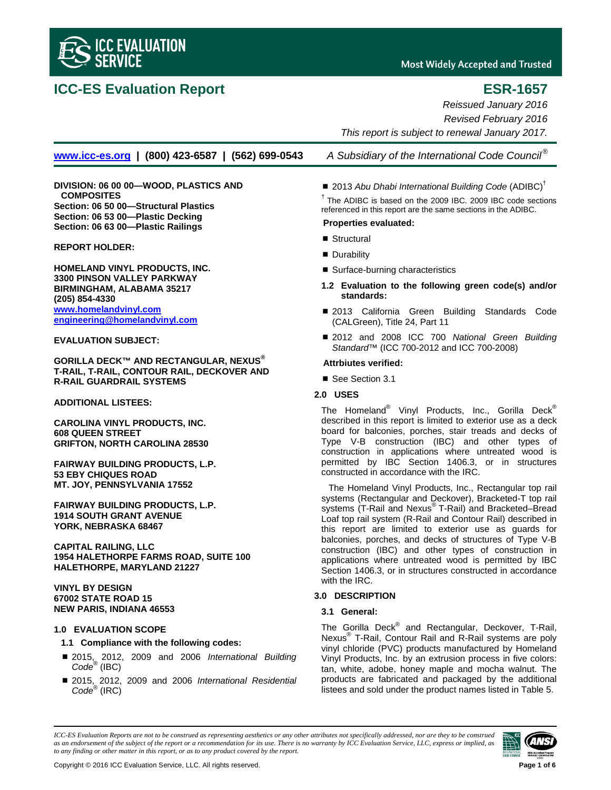

# **ICC-ES Evaluation Report ESR-1657**

**Most Widely Accepted and Trusted** 

*Reissued January 2016 Revised February 2016 This report is subject to renewal January 2017.*

**[www.icc-es.org](http://www.icc-es.org/) | (800) 423-6587 | (562) 699-0543** *A Subsidiary of the International Code Council®*

**DIVISION: 06 00 00—WOOD, PLASTICS AND COMPOSITES Section: 06 50 00—Structural Plastics Section: 06 53 00—Plastic Decking Section: 06 63 00—Plastic Railings**

**REPORT HOLDER:**

**HOMELAND VINYL PRODUCTS, INC. 3300 PINSON VALLEY PARKWAY BIRMINGHAM, ALABAMA 35217 (205) 854-4330 [www.homelandvinyl.com](http://www.homelandvinyl.com/) [engineering@homelandvinyl.com](mailto:engineering@homelandvinyl.com)**

**EVALUATION SUBJECT:**

**GORILLA DECK™ AND RECTANGULAR, NEXUS® T-RAIL, T-RAIL, CONTOUR RAIL, DECKOVER AND R-RAIL GUARDRAIL SYSTEMS**

**ADDITIONAL LISTEES:**

**CAROLINA VINYL PRODUCTS, INC. 608 QUEEN STREET GRIFTON, NORTH CAROLINA 28530**

**FAIRWAY BUILDING PRODUCTS, L.P. 53 EBY CHIQUES ROAD MT. JOY, PENNSYLVANIA 17552**

**FAIRWAY BUILDING PRODUCTS, L.P. 1914 SOUTH GRANT AVENUE YORK, NEBRASKA 68467**

**CAPITAL RAILING, LLC 1954 HALETHORPE FARMS ROAD, SUITE 100 HALETHORPE, MARYLAND 21227**

**VINYL BY DESIGN 67002 STATE ROAD 15 NEW PARIS, INDIANA 46553**

### **1.0 EVALUATION SCOPE**

#### **1.1 Compliance with the following codes:**

- 2015, 2012, 2009 and 2006 *International Building Code*® (IBC)
- 2015, 2012, 2009 and 2006 *International Residential Code*® (IRC)

# ■ 2013 Abu Dhabi International Building Code (ADIBC)<sup>†</sup>

 $<sup>†</sup>$  The ADIBC is based on the 2009 IBC. 2009 IBC code sections</sup> referenced in this report are the same sections in the ADIBC.

#### **Properties evaluated:**

- Structural
- **Durability**
- Surface-burning characteristics
- **1.2 Evaluation to the following green code(s) and/or standards:**
- 2013 California Green Building Standards Code (CALGreen), Title 24, Part 11
- 2012 and 2008 ICC 700 *National Green Building Standard*™ (ICC 700-2012 and ICC 700-2008)

#### **Attrbiutes verified:**

■ See Section 3.1

## **2.0 USES**

The Homeland® Vinyl Products, Inc., Gorilla Deck® described in this report is limited to exterior use as a deck board for balconies, porches, stair treads and decks of Type V-B construction (IBC) and other types of construction in applications where untreated wood is permitted by IBC Section 1406.3, or in structures constructed in accordance with the IRC.

The Homeland Vinyl Products, Inc., Rectangular top rail systems (Rectangular and Deckover), Bracketed-T top rail systems (T-Rail and Nexus® T-Rail) and Bracketed–Bread Loaf top rail system (R-Rail and Contour Rail) described in this report are limited to exterior use as guards for balconies, porches, and decks of structures of Type V-B construction (IBC) and other types of construction in applications where untreated wood is permitted by IBC Section 1406.3, or in structures constructed in accordance with the IRC.

### **3.0 DESCRIPTION**

### **3.1 General:**

The Gorilla Deck® and Rectangular, Deckover, T-Rail, Nexus® T-Rail, Contour Rail and R-Rail systems are poly vinyl chloride (PVC) products manufactured by Homeland Vinyl Products, Inc. by an extrusion process in five colors: tan, white, adobe, honey maple and mocha walnut. The products are fabricated and packaged by the additional listees and sold under the product names listed in Table 5.

*ICC-ES Evaluation Reports are not to be construed as representing aesthetics or any other attributes not specifically addressed, nor are they to be construed as an endorsement of the subject of the report or a recommendation for its use. There is no warranty by ICC Evaluation Service, LLC, express or implied, as to any finding or other matter in this report, or as to any product covered by the report.*

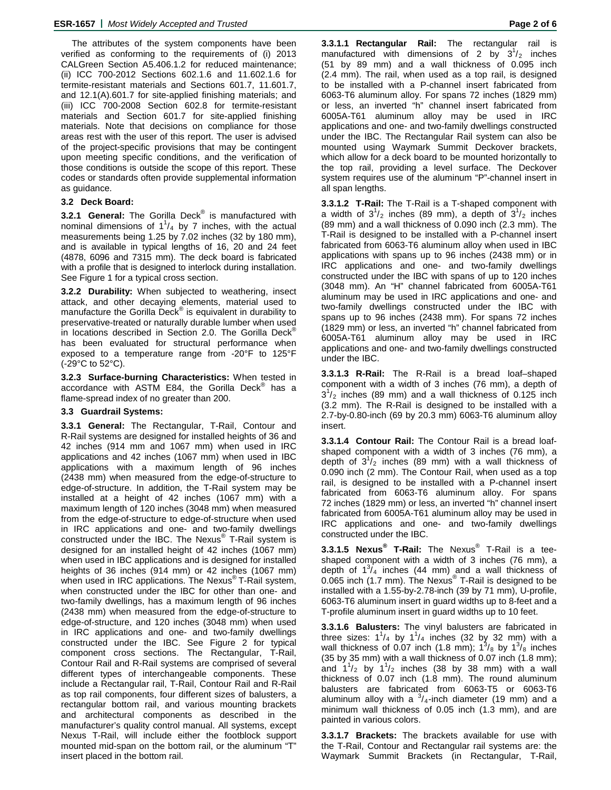The attributes of the system components have been verified as conforming to the requirements of (i) 2013 CALGreen Section A5.406.1.2 for reduced maintenance; (ii) ICC 700-2012 Sections 602.1.6 and 11.602.1.6 for termite-resistant materials and Sections 601.7, 11.601.7, and 12.1(A).601.7 for site-applied finishing materials; and (iii) ICC 700-2008 Section 602.8 for termite-resistant materials and Section 601.7 for site-applied finishing materials. Note that decisions on compliance for those areas rest with the user of this report. The user is advised of the project-specific provisions that may be contingent upon meeting specific conditions, and the verification of those conditions is outside the scope of this report. These codes or standards often provide supplemental information as guidance.

### **3.2 Deck Board:**

**3.2.1 General:** The Gorilla Deck® is manufactured with nominal dimensions of  $1^1/4$  by 7 inches, with the actual measurements being 1.25 by 7.02 inches (32 by 180 mm), and is available in typical lengths of 16, 20 and 24 feet (4878, 6096 and 7315 mm). The deck board is fabricated with a profile that is designed to interlock during installation. See Figure 1 for a typical cross section.

**3.2.2 Durability:** When subjected to weathering, insect attack, and other decaying elements, material used to manufacture the Gorilla Deck<sup>®</sup> is equivalent in durability to preservative-treated or naturally durable lumber when used in locations described in Section 2.0. The Gorilla Deck® has been evaluated for structural performance when exposed to a temperature range from -20°F to 125°F (-29°C to 52°C).

**3.2.3 Surface-burning Characteristics:** When tested in accordance with ASTM E84, the Gorilla Deck® has a flame-spread index of no greater than 200.

### **3.3 Guardrail Systems:**

**3.3.1 General:** The Rectangular, T-Rail, Contour and R-Rail systems are designed for installed heights of 36 and 42 inches (914 mm and 1067 mm) when used in IRC applications and 42 inches (1067 mm) when used in IBC applications with a maximum length of 96 inches (2438 mm) when measured from the edge-of-structure to edge-of-structure. In addition, the T-Rail system may be installed at a height of 42 inches (1067 mm) with a maximum length of 120 inches (3048 mm) when measured from the edge-of-structure to edge-of-structure when used in IRC applications and one- and two-family dwellings constructed under the IBC. The Nexus® T-Rail system is designed for an installed height of 42 inches (1067 mm) when used in IBC applications and is designed for installed heights of 36 inches (914 mm) or 42 inches (1067 mm) when used in IRC applications. The Nexus<sup>®</sup> T-Rail system, when constructed under the IBC for other than one- and two-family dwellings, has a maximum length of 96 inches (2438 mm) when measured from the edge-of-structure to edge-of-structure, and 120 inches (3048 mm) when used in IRC applications and one- and two-family dwellings constructed under the IBC. See Figure 2 for typical component cross sections. The Rectangular, T-Rail, Contour Rail and R-Rail systems are comprised of several different types of interchangeable components. These include a Rectangular rail, T-Rail, Contour Rail and R-Rail as top rail components, four different sizes of balusters, a rectangular bottom rail, and various mounting brackets and architectural components as described in the manufacturer's quality control manual. All systems, except Nexus T-Rail, will include either the footblock support mounted mid-span on the bottom rail, or the aluminum "T" insert placed in the bottom rail.

**3.3.1.1 Rectangular Rail:** The rectangular rail is manufactured with dimensions of 2 by  $3^{1}/_{2}$  inches (51 by 89 mm) and a wall thickness of 0.095 inch (2.4 mm). The rail, when used as a top rail, is designed to be installed with a P-channel insert fabricated from 6063-T6 aluminum alloy. For spans 72 inches (1829 mm) or less, an inverted "h" channel insert fabricated from 6005A-T61 aluminum alloy may be used in IRC applications and one- and two-family dwellings constructed under the IBC. The Rectangular Rail system can also be mounted using Waymark Summit Deckover brackets, which allow for a deck board to be mounted horizontally to the top rail, providing a level surface. The Deckover system requires use of the aluminum "P"-channel insert in all span lengths.

**3.3.1.2 T-Rail:** The T-Rail is a T-shaped component with a width of  $3^{1}/_{2}$  inches (89 mm), a depth of  $3^{1}/_{2}$  inches (89 mm) and a wall thickness of 0.090 inch (2.3 mm). The T-Rail is designed to be installed with a P-channel insert fabricated from 6063-T6 aluminum alloy when used in IBC applications with spans up to 96 inches (2438 mm) or in IRC applications and one- and two-family dwellings constructed under the IBC with spans of up to 120 inches (3048 mm). An "H" channel fabricated from 6005A-T61 aluminum may be used in IRC applications and one- and two-family dwellings constructed under the IBC with spans up to 96 inches (2438 mm). For spans 72 inches (1829 mm) or less, an inverted "h" channel fabricated from 6005A-T61 aluminum alloy may be used in IRC applications and one- and two-family dwellings constructed under the IBC.

**3.3.1.3 R-Rail:** The R-Rail is a bread loaf–shaped component with a width of 3 inches (76 mm), a depth of  $3<sup>1</sup>/2$  inches (89 mm) and a wall thickness of 0.125 inch (3.2 mm). The R-Rail is designed to be installed with a 2.7-by-0.80-inch (69 by 20.3 mm) 6063-T6 aluminum alloy insert.

**3.3.1.4 Contour Rail:** The Contour Rail is a bread loafshaped component with a width of 3 inches (76 mm), a depth of  $3^{1}/_{2}$  inches (89 mm) with a wall thickness of 0.090 inch (2 mm). The Contour Rail, when used as a top rail, is designed to be installed with a P-channel insert fabricated from 6063-T6 aluminum alloy. For spans 72 inches (1829 mm) or less, an inverted "h" channel insert fabricated from 6005A-T61 aluminum alloy may be used in IRC applications and one- and two-family dwellings constructed under the IBC.

**3.3.1.5 Nexus® T-Rail:** The Nexus® T-Rail is a teeshaped component with a width of 3 inches (76 mm), a depth of  $1^{3}/_{4}$  inches (44 mm) and a wall thickness of 0.065 inch (1.7 mm). The Nexus<sup>®</sup> T-Rail is designed to be installed with a 1.55-by-2.78-inch (39 by 71 mm), U-profile, 6063-T6 aluminum insert in guard widths up to 8-feet and a T-profile aluminum insert in guard widths up to 10 feet.

**3.3.1.6 Balusters:** The vinyl balusters are fabricated in three sizes:  $1^1/4$  by  $1^1/4$  inches (32 by 32 mm) with a wall thickness of 0.07 inch (1.8 mm);  $1^3$ /<sub>8</sub> by  $1^3$ /<sub>8</sub> inches (35 by 35 mm) with a wall thickness of 0.07 inch (1.8 mm); and  $1\frac{1}{2}$  by  $1\frac{1}{2}$  inches (38 by 38 mm) with a wall thickness of 0.07 inch (1.8 mm). The round aluminum balusters are fabricated from 6063-T5 or 6063-T6 aluminum alloy with a  $\frac{3}{4}$ -inch diameter (19 mm) and a minimum wall thickness of 0.05 inch (1.3 mm), and are painted in various colors.

**3.3.1.7 Brackets:** The brackets available for use with the T-Rail, Contour and Rectangular rail systems are: the Waymark Summit Brackets (in Rectangular, T-Rail,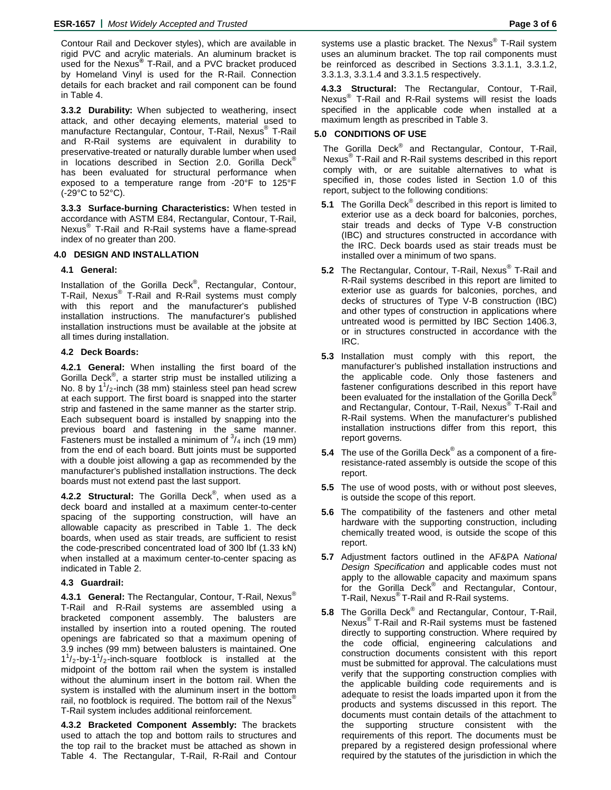Contour Rail and Deckover styles), which are available in rigid PVC and acrylic materials. An aluminum bracket is used for the Nexus**®** T-Rail, and a PVC bracket produced by Homeland Vinyl is used for the R-Rail. Connection details for each bracket and rail component can be found in Table 4.

**3.3.2 Durability:** When subjected to weathering, insect attack, and other decaying elements, material used to manufacture Rectangular, Contour, T-Rail, Nexus® T-Rail and R-Rail systems are equivalent in durability to preservative-treated or naturally durable lumber when used in locations described in Section 2.0. Gorilla Deck<sup>®</sup> has been evaluated for structural performance when exposed to a temperature range from -20°F to 125°F (-29°C to 52°C).

**3.3.3 Surface-burning Characteristics:** When tested in accordance with ASTM E84, Rectangular, Contour, T-Rail, Nexus® T-Rail and R-Rail systems have a flame-spread index of no greater than 200.

### **4.0 DESIGN AND INSTALLATION**

# **4.1 General:**

Installation of the Gorilla Deck<sup>®</sup>, Rectangular, Contour, T-Rail, Nexus® T-Rail and R-Rail systems must comply with this report and the manufacturer's published installation instructions. The manufacturer's published installation instructions must be available at the jobsite at all times during installation.

### **4.2 Deck Boards:**

**4.2.1 General:** When installing the first board of the Gorilla Deck<sup>®</sup>, a starter strip must be installed utilizing a No. 8 by  $1^1$ /<sub>2</sub>-inch (38 mm) stainless steel pan head screw at each support. The first board is snapped into the starter strip and fastened in the same manner as the starter strip. Each subsequent board is installed by snapping into the previous board and fastening in the same manner. Fasteners must be installed a minimum of  $\frac{3}{4}$  inch (19 mm) from the end of each board. Butt joints must be supported with a double joist allowing a gap as recommended by the manufacturer's published installation instructions. The deck boards must not extend past the last support.

**4.2.2 Structural:** The Gorilla Deck® , when used as a deck board and installed at a maximum center-to-center spacing of the supporting construction, will have an allowable capacity as prescribed in Table 1. The deck boards, when used as stair treads, are sufficient to resist the code-prescribed concentrated load of 300 lbf (1.33 kN) when installed at a maximum center-to-center spacing as indicated in Table 2.

# **4.3 Guardrail:**

**4.3.1 General:** The Rectangular, Contour, T-Rail, Nexus® T-Rail and R-Rail systems are assembled using a bracketed component assembly. The balusters are installed by insertion into a routed opening. The routed openings are fabricated so that a maximum opening of 3.9 inches (99 mm) between balusters is maintained. One  $1<sup>1</sup>/2$ -by-1<sup>1</sup>/<sub>2</sub>-inch-square footblock is installed at the midpoint of the bottom rail when the system is installed without the aluminum insert in the bottom rail. When the system is installed with the aluminum insert in the bottom rail, no footblock is required. The bottom rail of the Nexus<sup>®</sup> T-Rail system includes additional reinforcement.

**4.3.2 Bracketed Component Assembly:** The brackets used to attach the top and bottom rails to structures and the top rail to the bracket must be attached as shown in Table 4. The Rectangular, T-Rail, R-Rail and Contour

systems use a plastic bracket. The Nexus® T-Rail system uses an aluminum bracket. The top rail components must be reinforced as described in Sections 3.3.1.1, 3.3.1.2, 3.3.1.3, 3.3.1.4 and 3.3.1.5 respectively.

**4.3.3 Structural:** The Rectangular, Contour, T-Rail, Nexus<sup>®</sup> T-Rail and R-Rail systems will resist the loads specified in the applicable code when installed at a maximum length as prescribed in Table 3.

# **5.0 CONDITIONS OF USE**

The Gorilla Deck<sup>®</sup> and Rectangular, Contour, T-Rail, Nexus® T-Rail and R-Rail systems described in this report comply with, or are suitable alternatives to what is specified in, those codes listed in Section 1.0 of this report, subject to the following conditions:

- **5.1** The Gorilla Deck<sup>®</sup> described in this report is limited to exterior use as a deck board for balconies, porches, stair treads and decks of Type V-B construction (IBC) and structures constructed in accordance with the IRC. Deck boards used as stair treads must be installed over a minimum of two spans.
- **5.2** The Rectangular, Contour, T-Rail, Nexus® T-Rail and R-Rail systems described in this report are limited to exterior use as guards for balconies, porches, and decks of structures of Type V-B construction (IBC) and other types of construction in applications where untreated wood is permitted by IBC Section 1406.3, or in structures constructed in accordance with the IRC.
- **5.3** Installation must comply with this report, the manufacturer's published installation instructions and the applicable code. Only those fasteners and fastener configurations described in this report have been evaluated for the installation of the Gorilla Deck<sup>®</sup> and Rectangular, Contour, T-Rail, Nexus® T-Rail and R-Rail systems. When the manufacturer's published installation instructions differ from this report, this report governs.
- **5.4** The use of the Gorilla Deck® as a component of a fireresistance-rated assembly is outside the scope of this report.
- **5.5** The use of wood posts, with or without post sleeves, is outside the scope of this report.
- **5.6** The compatibility of the fasteners and other metal hardware with the supporting construction, including chemically treated wood, is outside the scope of this report.
- **5.7** Adjustment factors outlined in the AF&PA *National Design Specification* and applicable codes must not apply to the allowable capacity and maximum spans for the Gorilla Deck<sup>®</sup> and Rectangular, Contour, T-Rail, Nexus® T-Rail and R-Rail systems.
- **5.8** The Gorilla Deck® and Rectangular, Contour, T-Rail, Nexus® T-Rail and R-Rail systems must be fastened directly to supporting construction. Where required by the code official, engineering calculations and construction documents consistent with this report must be submitted for approval. The calculations must verify that the supporting construction complies with the applicable building code requirements and is adequate to resist the loads imparted upon it from the products and systems discussed in this report. The documents must contain details of the attachment to the supporting structure consistent with the requirements of this report. The documents must be prepared by a registered design professional where required by the statutes of the jurisdiction in which the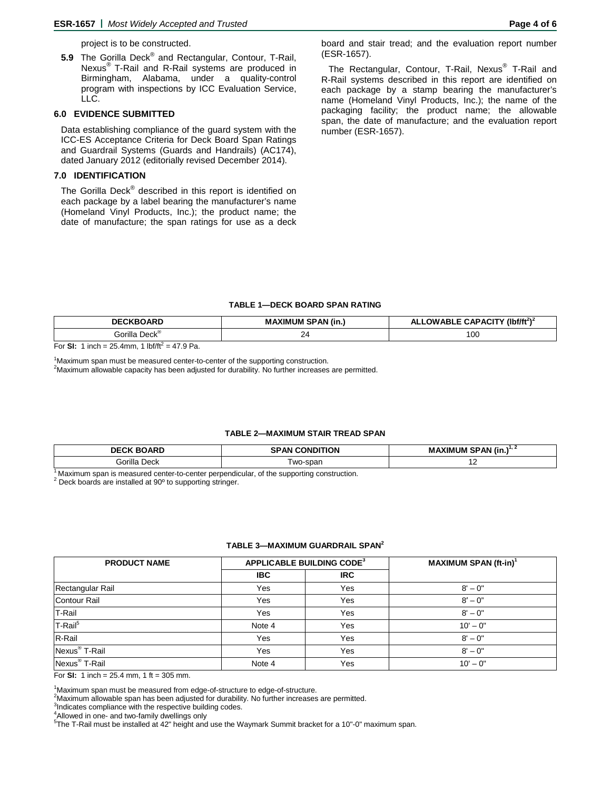project is to be constructed.

**5.9** The Gorilla Deck® and Rectangular, Contour, T-Rail, Nexus® T-Rail and R-Rail systems are produced in Birmingham, Alabama, under a quality-control program with inspections by ICC Evaluation Service, LLC.

#### **6.0 EVIDENCE SUBMITTED**

Data establishing compliance of the guard system with the ICC-ES Acceptance Criteria for Deck Board Span Ratings and Guardrail Systems (Guards and Handrails) (AC174), dated January 2012 (editorially revised December 2014).

# **7.0 IDENTIFICATION**

The Gorilla Deck<sup>®</sup> described in this report is identified on each package by a label bearing the manufacturer's name (Homeland Vinyl Products, Inc.); the product name; the date of manufacture; the span ratings for use as a deck

board and stair tread; and the evaluation report number (ESR-1657).

The Rectangular, Contour, T-Rail, Nexus<sup>®</sup> T-Rail and R-Rail systems described in this report are identified on each package by a stamp bearing the manufacturer's name (Homeland Vinyl Products, Inc.); the name of the packaging facility; the product name; the allowable span, the date of manufacture; and the evaluation report number (ESR-1657).

#### **TABLE 1—DECK BOARD SPAN RATING**

| DE(<br>DARI)                               | 'AN (in.,<br><b>MAXIMUM</b><br>. . | $(lbf/ft^2)^2$<br>$\sim$ DACITY (in $\sim$<br>าพ ∆ Ri<br>л. |  |  |
|--------------------------------------------|------------------------------------|-------------------------------------------------------------|--|--|
| $Deck^{\mathsf{g}}$<br>€iorilla<br>п.<br>. | -                                  | 100<br>__                                                   |  |  |

For **SI:** 1 inch = 25.4mm, 1  $\frac{1}{10}$  inf/ $\frac{1}{2}$  = 47.9 Pa.

<sup>1</sup>Maximum span must be measured center-to-center of the supporting construction.<br><sup>2</sup>Maximum allowable conscity has been adjusted for durability. No further increases <sup>2</sup>Maximum allowable capacity has been adjusted for durability. No further increases are permitted.

#### **TABLE 2—MAXIMUM STAIR TREAD SPAN**

| <b>DECK BOARD</b>   | <b>SPAN CONDITION</b> | <b>MAXIMUM SPAN (in.)</b><br>∡ ۱۱۰ |  |  |
|---------------------|-----------------------|------------------------------------|--|--|
| Gorilla '<br>. Deck | ⊺wo-span              | . .                                |  |  |
| .                   | .<br>.<br>.           |                                    |  |  |

<sup>1</sup> Maximum span is measured center-to-center perpendicular, of the supporting construction.<br><sup>2</sup> Deck boards are installed at 90<sup>o</sup> to supporting stringer.

#### **TABLE 3—MAXIMUM GUARDRAIL SPAN2**

| <b>PRODUCT NAME</b>       | <b>APPLICABLE BUILDING CODE<sup>3</sup></b> |            | <b>MAXIMUM SPAN (ft-in)<sup>1</sup></b> |  |  |
|---------------------------|---------------------------------------------|------------|-----------------------------------------|--|--|
|                           | <b>IBC</b>                                  | <b>IRC</b> |                                         |  |  |
| Rectangular Rail          | Yes                                         | Yes        | $8' - 0''$                              |  |  |
| Contour Rail              | Yes                                         | Yes        | $8' - 0$ "                              |  |  |
| T-Rail                    | Yes                                         | Yes        | $8' - 0''$                              |  |  |
| T-Rail <sup>5</sup>       | Note 4                                      | Yes        | $10' - 0''$                             |  |  |
| R-Rail                    | Yes                                         | Yes        | $8' - 0''$                              |  |  |
| Nexus <sup>®</sup> T-Rail | Yes                                         | Yes        | $8' - 0''$                              |  |  |
| Nexus <sup>®</sup> T-Rail | Note 4                                      | Yes        | $10' - 0''$                             |  |  |

For **SI:** 1 inch = 25.4 mm, 1 ft = 305 mm.

<sup>1</sup>Maximum span must be measured from edge-of-structure to edge-of-structure.<br><sup>2</sup>Maximum allowable span has been adjusted for durability. No further increases

 $<sup>2</sup>$ Maximum allowable span has been adjusted for durability. No further increases are permitted.</sup>

<sup>3</sup>Indicates compliance with the respective building codes.

 $^{4}$ Allowed in one- and two-family dwellings only  $^{5}$ The T Beil must be installed at  $42^{\circ}$  beight and

<sup>5</sup>The T-Rail must be installed at 42" height and use the Waymark Summit bracket for a 10"-0" maximum span.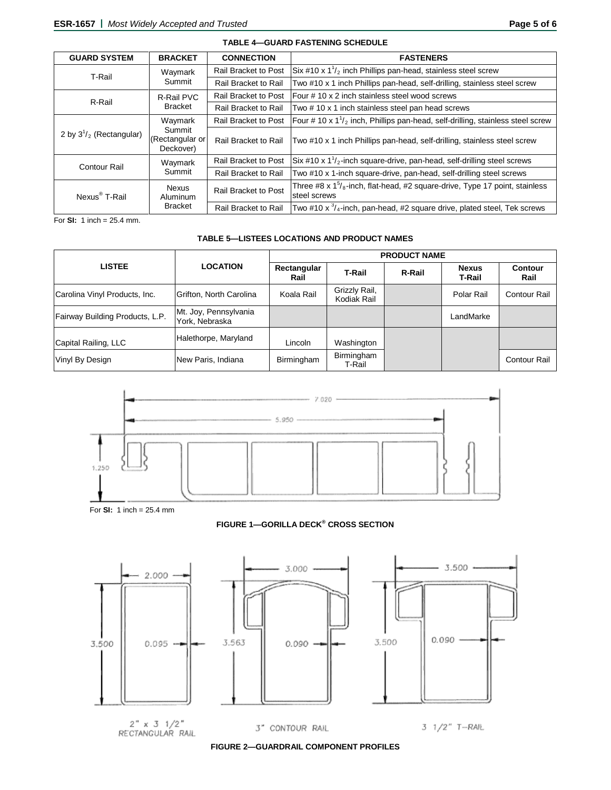| <b>GUARD SYSTEM</b>                      | <b>BRACKET</b>                             | <b>CONNECTION</b>                                                                                              | <b>FASTENERS</b>                                                                             |  |  |
|------------------------------------------|--------------------------------------------|----------------------------------------------------------------------------------------------------------------|----------------------------------------------------------------------------------------------|--|--|
| T-Rail                                   | Waymark<br>Summit                          | <b>Rail Bracket to Post</b>                                                                                    | $\sin \#10 \times 1\frac{1}{2}$ inch Phillips pan-head, stainless steel screw                |  |  |
|                                          |                                            | Rail Bracket to Rail                                                                                           | Two #10 x 1 inch Phillips pan-head, self-drilling, stainless steel screw                     |  |  |
| R-Rail                                   | R-Rail PVC<br><b>Bracket</b>               | <b>Rail Bracket to Post</b>                                                                                    | <b>Four #10 x 2 inch stainless steel wood screws</b>                                         |  |  |
|                                          |                                            | <b>Rail Bracket to Rail</b>                                                                                    | Two # 10 x 1 inch stainless steel pan head screws                                            |  |  |
| Summit<br>2 by $3^{1}/_2$ (Rectangular)  | Waymark                                    | Rail Bracket to Post                                                                                           | Four # 10 x $1\frac{1}{2}$ inch, Phillips pan-head, self-drilling, stainless steel screw     |  |  |
|                                          | (Rectangular or<br>Deckover)               | <b>Rail Bracket to Rail</b>                                                                                    | Two #10 x 1 inch Phillips pan-head, self-drilling, stainless steel screw                     |  |  |
| Waymark<br><b>Contour Rail</b><br>Summit | <b>Rail Bracket to Post</b>                | $\frac{1}{2}$ Six #10 x 1 <sup>1</sup> / <sub>2</sub> -inch square-drive, pan-head, self-drilling steel screws |                                                                                              |  |  |
|                                          |                                            | Rail Bracket to Rail                                                                                           | Two #10 x 1-inch square-drive, pan-head, self-drilling steel screws                          |  |  |
| Nexus <sup>®</sup> T-Rail                | <b>Nexus</b><br>Aluminum<br><b>Bracket</b> | Rail Bracket to Post                                                                                           | Three #8 x $1\%$ -inch, flat-head, #2 square-drive, Type 17 point, stainless<br>steel screws |  |  |
|                                          |                                            | <b>Rail Bracket to Rail</b>                                                                                    | Two #10 x $\frac{3}{4}$ -inch, pan-head, #2 square drive, plated steel, Tek screws           |  |  |

**TABLE 4—GUARD FASTENING SCHEDULE**

For **SI:** 1 inch = 25.4 mm.

# **TABLE 5—LISTEES LOCATIONS AND PRODUCT NAMES**

| <b>LISTEE</b>                   | <b>LOCATION</b>                         | <b>PRODUCT NAME</b> |                              |        |                        |                     |  |
|---------------------------------|-----------------------------------------|---------------------|------------------------------|--------|------------------------|---------------------|--|
|                                 |                                         | Rectangular<br>Rail | <b>T-Rail</b>                | R-Rail | <b>Nexus</b><br>T-Rail | Contour<br>Rail     |  |
| Carolina Vinyl Products, Inc.   | Grifton, North Carolina                 | Koala Rail          | Grizzly Rail,<br>Kodiak Rail |        | Polar Rail             | <b>Contour Rail</b> |  |
| Fairway Building Products, L.P. | Mt. Joy, Pennsylvania<br>York, Nebraska |                     |                              |        | LandMarke              |                     |  |
| Capital Railing, LLC            | Halethorpe, Maryland                    | Lincoln             | Washington                   |        |                        |                     |  |
| Vinyl By Design                 | New Paris, Indiana                      | Birmingham          | Birmingham<br>T-Rail         |        |                        | <b>Contour Rail</b> |  |



For **SI:** 1 inch = 25.4 mm

### **FIGURE 1—GORILLA DECK® CROSS SECTION**



**FIGURE 2—GUARDRAIL COMPONENT PROFILES**